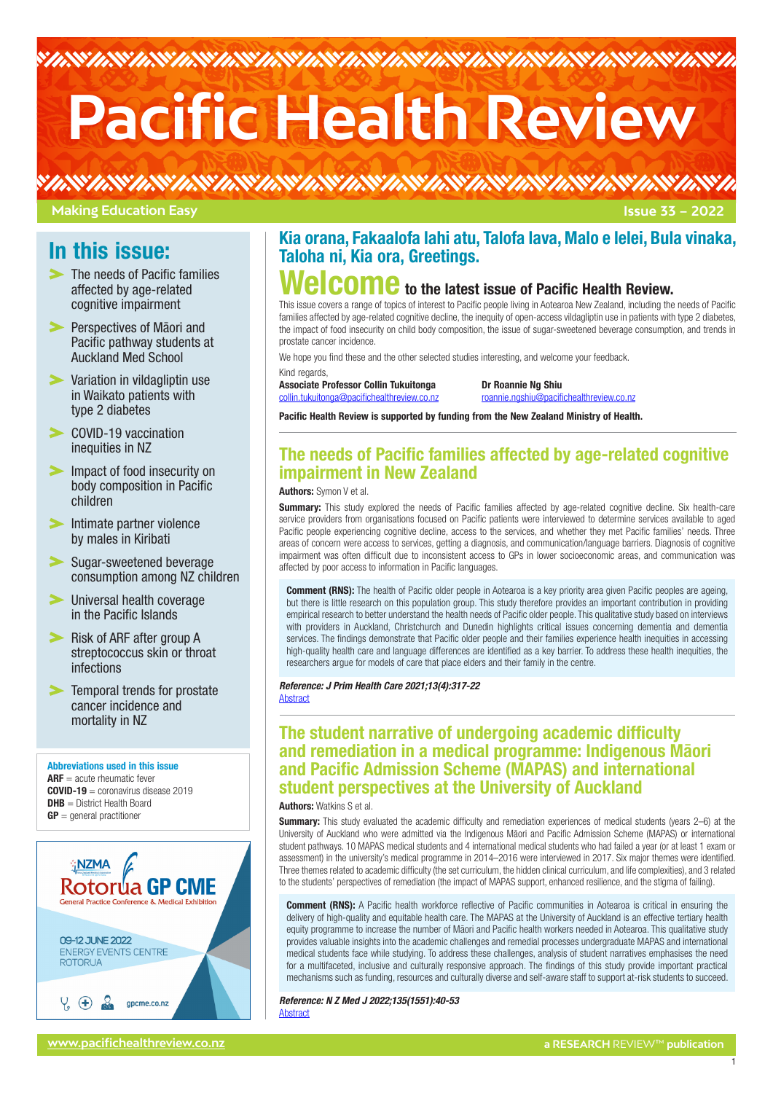# **Pacific Health Review**

# **Making Education Easy**

# In this issue:

- The needs of Pacific families affected by age-related cognitive impairment
- **Perspectives of Maori and** Pacific pathway students at Auckland Med School
- [Variation in vildagliptin use](#page-1-0)  [in Waikato patients with](#page-1-0)  [type 2 diabetes](#page-1-0)
- COVID-19 vaccination [inequities in NZ](#page-1-0)
- Impact of food insecurity on [body composition in Pacific](#page-1-0)  [children](#page-1-0)
- $\blacktriangleright$  Intimate partner violence [by males in Kiribati](#page-1-0)
- Sugar-sweetened beverage [consumption among NZ children](#page-3-0)
- [Universal health coverage](#page-3-0)  [in the Pacific Islands](#page-3-0)
- **Risk of ARF after group A** [streptococcus skin or throat](#page-3-0)  [infections](#page-3-0)
- [Temporal trends for prostate](#page-3-0)  [cancer incidence and](#page-3-0)  [mortality in NZ](#page-3-0)

Abbreviations used in this issue  $\textsf{ARF} =$  acute rheumatic fever  $COVID-19 =$  coronavirus disease 2019 **DHB** = District Health Board  $GP =$  general practitioner



# Kia orana, Fakaalofa lahi atu, Talofa lava, Malo e lelei, Bula vinaka, Taloha ni, Kia ora, Greetings.

# **Relcome** to the latest issue of Pacific Health Review.

This issue covers a range of topics of interest to Pacific people living in Aotearoa New Zealand, including the needs of Pacific families affected by age-related cognitive decline, the inequity of open-access vildagliptin use in patients with type 2 diabetes, the impact of food insecurity on child body composition, the issue of sugar-sweetened beverage consumption, and trends in prostate cancer incidence.

We hope you find these and the other selected studies interesting, and welcome your feedback.

#### Kind regards

Associate Professor Collin Tukuitonga Para Dr Roannie Ng Shiu [collin.tukuitonga@pacifichealthreview.co.nz](mailto:collin.tukuitonga%40pacifichealthreview.co.nz?subject=) roannie.ngshiu[@pacifichealthreview.co.nz](mailto:roannie.ngshiu%40pacifichealthreview.co.nz?subject=)

Pacific Health Review is supported by funding from the New Zealand Ministry of Health.

# The needs of Pacific families affected by age-related cognitive impairment in New Zealand

Authors: Symon V et al.

**Summary:** This study explored the needs of Pacific families affected by age-related cognitive decline. Six health-care service providers from organisations focused on Pacific patients were interviewed to determine services available to aged Pacific people experiencing cognitive decline, access to the services, and whether they met Pacific families' needs. Three areas of concern were access to services, getting a diagnosis, and communication/language barriers. Diagnosis of cognitive impairment was often difficult due to inconsistent access to GPs in lower socioeconomic areas, and communication was affected by poor access to information in Pacific languages.

**Comment (RNS):** The health of Pacific older people in Aotearoa is a key priority area given Pacific peoples are ageing, but there is little research on this population group. This study therefore provides an important contribution in providing empirical research to better understand the health needs of Pacific older people. This qualitative study based on interviews with providers in Auckland, Christchurch and Dunedin highlights critical issues concerning dementia and dementia services. The findings demonstrate that Pacific older people and their families experience health inequities in accessing high-quality health care and language differences are identified as a key barrier. To address these health inequities, the researchers argue for models of care that place elders and their family in the centre.

*Reference: J Prim Health Care 2021;13(4):317-22* **[Abstract](https://www.publish.csiro.au/hc/HC21082)** 

# The student narrative of undergoing academic difficulty and remediation in a medical programme: Indigenous Māori and Pacific Admission Scheme (MAPAS) and international student perspectives at the University of Auckland

#### **Authors: Watkins S et al.**

Summary: This study evaluated the academic difficulty and remediation experiences of medical students (years 2–6) at the University of Auckland who were admitted via the Indigenous Māori and Pacific Admission Scheme (MAPAS) or international student pathways. 10 MAPAS medical students and 4 international medical students who had failed a year (or at least 1 exam or assessment) in the university's medical programme in 2014–2016 were interviewed in 2017. Six major themes were identified. Three themes related to academic difficulty (the set curriculum, the hidden clinical curriculum, and life complexities), and 3 related to the students' perspectives of remediation (the impact of MAPAS support, enhanced resilience, and the stigma of failing).

**Comment (RNS):** A Pacific health workforce reflective of Pacific communities in Aotearoa is critical in ensuring the delivery of high-quality and equitable health care. The MAPAS at the University of Auckland is an effective tertiary health equity programme to increase the number of Māori and Pacific health workers needed in Aotearoa. This qualitative study provides valuable insights into the academic challenges and remedial processes undergraduate MAPAS and international medical students face while studying. To address these challenges, analysis of student narratives emphasises the need for a multifaceted, inclusive and culturally responsive approach. The findings of this study provide important practical mechanisms such as funding, resources and culturally diverse and self-aware staff to support at-risk students to succeed.

*Reference: N Z Med J 2022;135(1551):40-53*  [Abstract](https://journal.nzma.org.nz/journal-articles/the-student-narrative-of-undergoing-academic-difficulty-and-remediation-in-a-medical-programme-indigenous-maori-and-pacific-admission-scheme-mapas-and-international-student-perspectives-at-the-university-of-auckland)

**[www.pacifichealthreview.co.nz](http://www.pacifichealthreview.co.nz) a RESEARCH** REVIEW™ **publication**

1

**Issue 33 – 2022**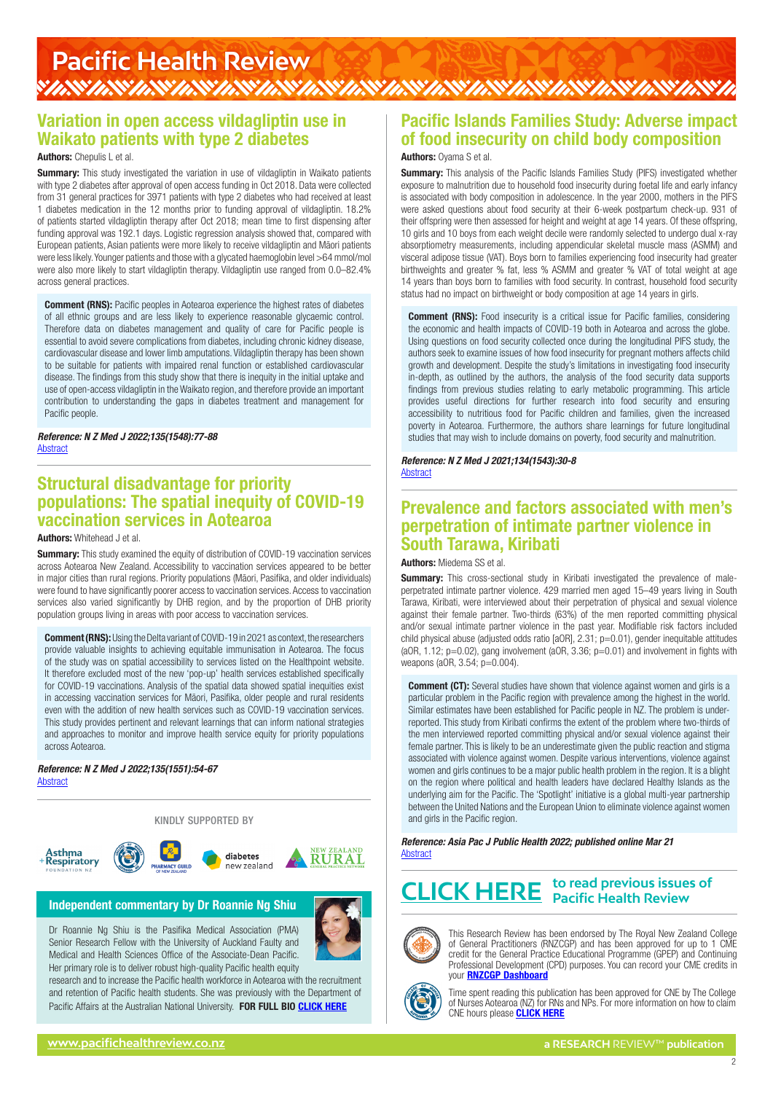# <span id="page-1-0"></span>Pacific Health Review<br>WAWANYAWAWAWAWAWAWAWAWAWAWAWAWAWAWAWAWA

# Variation in open access vildagliptin use in Waikato patients with type 2 diabetes

#### Authors: Chepulis L et al.

Summary: This study investigated the variation in use of vildagliptin in Waikato patients with type 2 diabetes after approval of open access funding in Oct 2018. Data were collected from 31 general practices for 3971 patients with type 2 diabetes who had received at least 1 diabetes medication in the 12 months prior to funding approval of vildagliptin. 18.2% of patients started vildagliptin therapy after Oct 2018; mean time to first dispensing after funding approval was 192.1 days. Logistic regression analysis showed that, compared with European patients, Asian patients were more likely to receive vildagliptin and Māori patients were less likely. Younger patients and those with a glycated haemoglobin level >64 mmol/mol were also more likely to start vildagliptin therapy. Vildagliptin use ranged from 0.0–82.4% across general practices.

Comment (RNS): Pacific peoples in Aotearoa experience the highest rates of diabetes of all ethnic groups and are less likely to experience reasonable glycaemic control. Therefore data on diabetes management and quality of care for Pacific people is essential to avoid severe complications from diabetes, including chronic kidney disease, cardiovascular disease and lower limb amputations. Vildagliptin therapy has been shown to be suitable for patients with impaired renal function or established cardiovascular disease. The findings from this study show that there is inequity in the initial uptake and use of open-access vildagliptin in the Waikato region, and therefore provide an important contribution to understanding the gaps in diabetes treatment and management for Pacific people.

*Reference: N Z Med J 2022;135(1548):77-88* [Abstract](https://journal.nzma.org.nz/journal-articles/variation-in-open-access-vildagliptin-use-in-waikato-patients-with-type-2-diabetes)

## Structural disadvantage for priority populations: The spatial inequity of COVID-19 vaccination services in Aotearoa

#### Authors: Whitehead J et al.

**Summary:** This study examined the equity of distribution of COVID-19 vaccination services across Aotearoa New Zealand. Accessibility to vaccination services appeared to be better in major cities than rural regions. Priority populations (Māori, Pasifika, and older individuals) were found to have significantly poorer access to vaccination services. Access to vaccination services also varied significantly by DHB region, and by the proportion of DHB priority population groups living in areas with poor access to vaccination services.

Comment (RNS): Using the Delta variant of COVID-19 in 2021 as context, the researchers provide valuable insights to achieving equitable immunisation in Aotearoa. The focus of the study was on spatial accessibility to services listed on the Healthpoint website. It therefore excluded most of the new 'pop-up' health services established specifically for COVID-19 vaccinations. Analysis of the spatial data showed spatial inequities exist in accessing vaccination services for Māori, Pasifika, older people and rural residents even with the addition of new health services such as COVID-19 vaccination services. This study provides pertinent and relevant learnings that can inform national strategies and approaches to monitor and improve health service equity for priority populations across Aotearoa.

*Reference: N Z Med J 2022;135(1551):54-67* [Abstract](https://journal.nzma.org.nz/journal-articles/structural-disadvantage-for-priority-populations-the-spatial-inequity-of-covid-19-vaccination-services-in-aotearoa-open-access)

**sthma** 

Respiratory



diabetes

new zealand



#### Independent commentary by Dr Roannie Ng Shiu

Dr Roannie Ng Shiu is the Pasifika Medical Association (PMA) Senior Research Fellow with the University of Auckland Faulty and Medical and Health Sciences Office of the Associate-Dean Pacific. Her primary role is to deliver robust high-quality Pacific health equity

research and to increase the Pacific health workforce in Aotearoa with the recruitment and retention of Pacific health students. She was previously with the Department of Pacific Affairs at the Australian National University. FOR FULL BIO [CLICK HERE](https://www.researchreview.co.nz/nz/Writers.aspx?area=13936,13965&id=13965)

# Pacific Islands Families Study: Adverse impact of food insecurity on child body composition

#### Authors: Oyama S et al.

**Summary:** This analysis of the Pacific Islands Families Study (PIFS) investigated whether exposure to malnutrition due to household food insecurity during foetal life and early infancy is associated with body composition in adolescence. In the year 2000, mothers in the PIFS were asked questions about food security at their 6-week postpartum check-up. 931 of their offspring were then assessed for height and weight at age 14 years. Of these offspring, 10 girls and 10 boys from each weight decile were randomly selected to undergo dual x-ray absorptiometry measurements, including appendicular skeletal muscle mass (ASMM) and visceral adipose tissue (VAT). Boys born to families experiencing food insecurity had greater birthweights and greater % fat, less % ASMM and greater % VAT of total weight at age 14 years than boys born to families with food security. In contrast, household food security status had no impact on birthweight or body composition at age 14 years in girls.

**Comment (RNS):** Food insecurity is a critical issue for Pacific families, considering the economic and health impacts of COVID-19 both in Aotearoa and across the globe. Using questions on food security collected once during the longitudinal PIFS study, the authors seek to examine issues of how food insecurity for pregnant mothers affects child growth and development. Despite the study's limitations in investigating food insecurity in-depth, as outlined by the authors, the analysis of the food security data supports findings from previous studies relating to early metabolic programming. This article provides useful directions for further research into food security and ensuring accessibility to nutritious food for Pacific children and families, given the increased poverty in Aotearoa. Furthermore, the authors share learnings for future longitudinal studies that may wish to include domains on poverty, food security and malnutrition.

*Reference: N Z Med J 2021;134(1543):30-8* [Abstract](https://journal.nzma.org.nz/journal-articles/pacific-islands-families-study-adverse-impact-of-food-insecurity-on-child-body-composition)

### Prevalence and factors associated with men's perpetration of intimate partner violence in South Tarawa, Kiribati

#### Authors: Miedema SS et al.

**Summary:** This cross-sectional study in Kiribati investigated the prevalence of maleperpetrated intimate partner violence. 429 married men aged 15–49 years living in South Tarawa, Kiribati, were interviewed about their perpetration of physical and sexual violence against their female partner. Two-thirds (63%) of the men reported committing physical and/or sexual intimate partner violence in the past year. Modifiable risk factors included child physical abuse (adjusted odds ratio  $[aOR]$ ,  $2.31$ ;  $p=0.01$ ), gender inequitable attitudes (aOR, 1.12; p=0.02), gang involvement (aOR, 3.36; p=0.01) and involvement in fights with weapons (aOR, 3.54; p=0.004).

**Comment (CT):** Several studies have shown that violence against women and girls is a particular problem in the Pacific region with prevalence among the highest in the world. Similar estimates have been established for Pacific people in NZ. The problem is underreported. This study from Kiribati confirms the extent of the problem where two-thirds of the men interviewed reported committing physical and/or sexual violence against their female partner. This is likely to be an underestimate given the public reaction and stigma associated with violence against women. Despite various interventions, violence against women and girls continues to be a major public health problem in the region. It is a blight on the region where political and health leaders have declared Healthy Islands as the underlying aim for the Pacific. The 'Spotlight' initiative is a global multi-year partnership between the United Nations and the European Union to eliminate violence against women and girls in the Pacific region.

*Reference: Asia Pac J Public Health 2022; published online Mar 21* **[Abstract](https://doi.org/10.1177/10105395221085151)** 

# **to read previous issues of [CLICK HERE](https://www.pacifichealthreview.co.nz/ph/Pages/Recent-Reviews.aspx) Pacific Health Review**



This Research Review has been endorsed by The Royal New Zealand College of General Practitioners (RNZCGP) and has been approved for up to 1 CME credit for the General Practice Educational Programme (GPEP) and Continuing Professional Development (CPD) purposes. You can record your CME credits in your [RNZCGP Dashboard](https://www.rnzcgp.org.nz/RNZCGP/Contact_Management/Sign_In.aspx)



Time spent reading this publication has been approved for CNE by The College of Nurses Aotearoa (NZ) for RNs and NPs. For more information on how to claim CNE hours please **[CLICK HERE](http://www.nurse.org.nz/continuing-nursing-education-cne-template.html)** 

2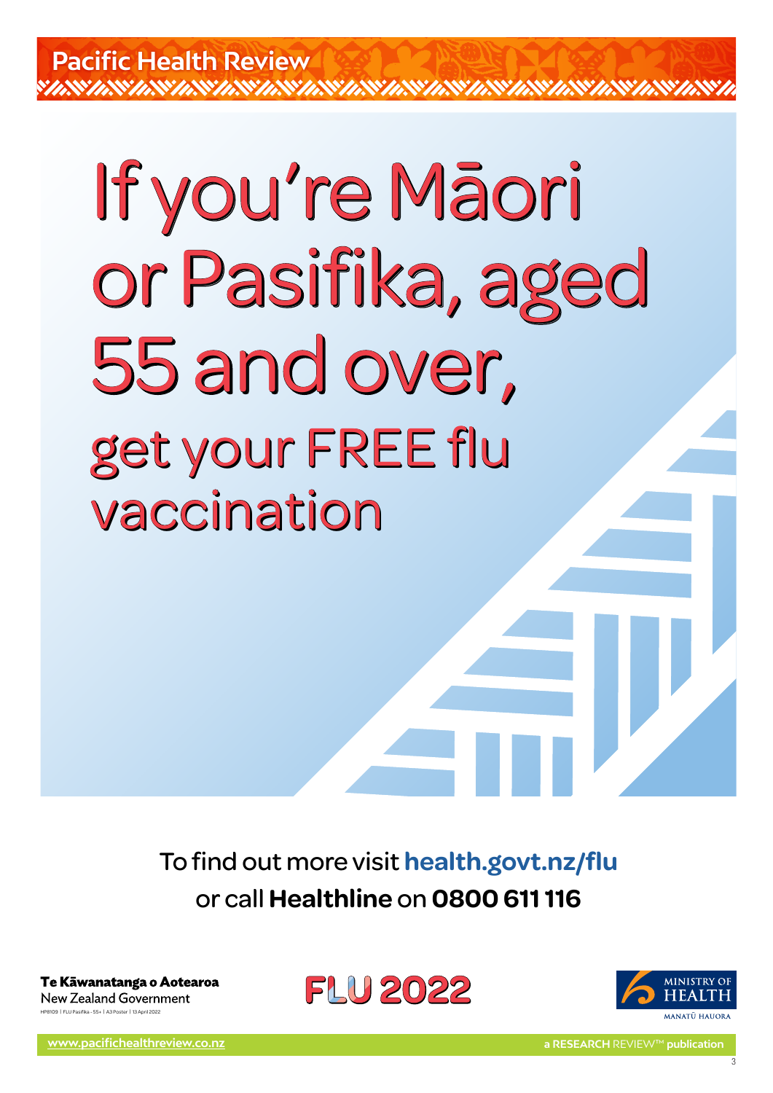# If you're Māori If you're Māori or Pasifika, aged or Pasifika, aged 55 and over, 55 and over, get your FREE flu get your FREE flu vaccination vaccination

To find out more visit **[health.govt.nz/flu](http://health.govt.nz/flu)** or call **Healthline** on **0800 611 116**

Te Kāwanatanga o Aotearoa **New Zealand Government** HP8109 | FLU Pasifika - 55+ | A3 Poster | 13April 2022





3

**[www.pacifichealthreview.co.nz](http://www.pacifichealthreview.co.nz) a RESEARCH** REVIEW™ **publication**